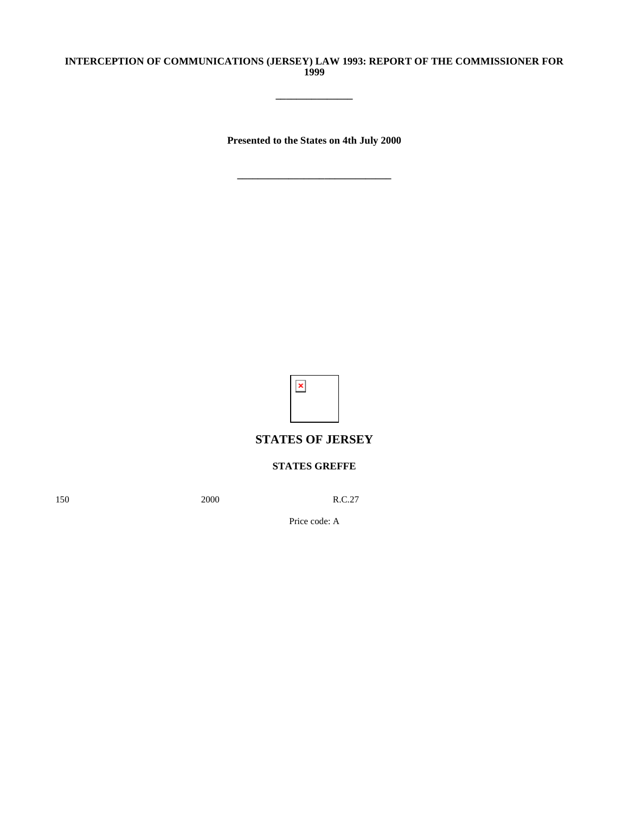## **INTERCEPTION OF COMMUNICATIONS (JERSEY) LAW 1993: REPORT OF THE COMMISSIONER FOR 1999**

**\_\_\_\_\_\_\_\_\_\_\_\_\_\_\_**

**Presented to the States on 4th July 2000**

**\_\_\_\_\_\_\_\_\_\_\_\_\_\_\_\_\_\_\_\_\_\_\_\_\_\_\_\_\_\_**



## **STATES OF JERSEY**

## **STATES GREFFE**

150 2000 R.C.27

Price code: A